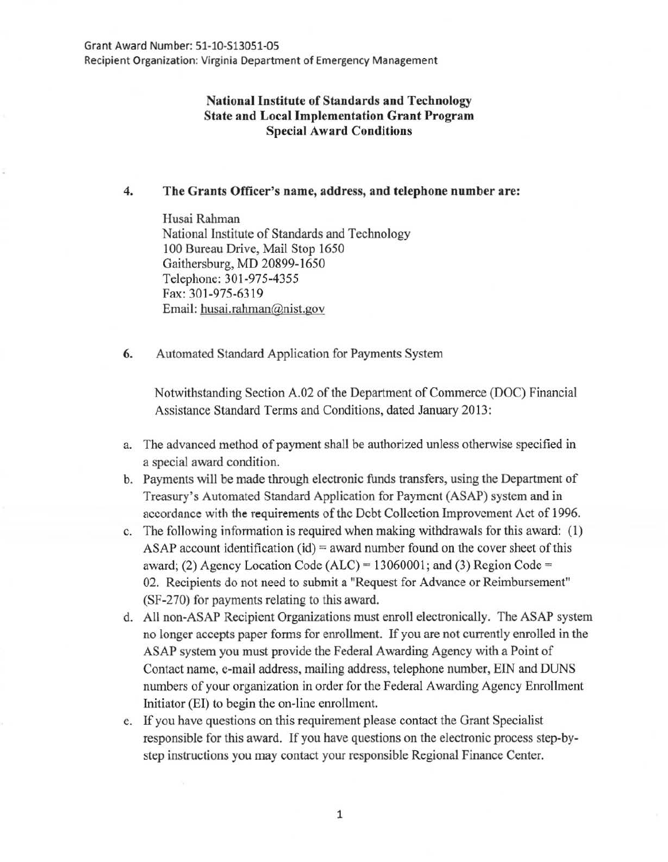# National Institute of Standards and Technology State and Local Implementation Grant Program Special Award Conditions

# 4. The Grants Officer's name, address, and telephone number are:

Husai Rahman National Institute of Standards and Technology 100 Bureau Drive, Mail Stop 1650 Gaithersburg, MD 20899-1650 Telephone: 301-975-4355 Fax: 301-975-6319 Email: husai.rahman@nist.gov

6. Automated Standard Application for Payments System

Notwithstanding Section A.02 of the Department of Commerce (DOC) Financial Assistance Standard Terms and Conditions, dated January 2013:

- a. The advanced method of payment shall be authorized unless otherwise specified in a special award condition.
- b. Payments will be made through electronic funds transfers, using the Department of Treasury's Automated Standard Application for Payment (ASAP) system and in accordance with the requirements of the Debt Collection Improvement Act of 1996.
- c. The following information is required when making withdrawals for this award: (1) ASAP account identification  $(id)$  = award number found on the cover sheet of this award; (2) Agency Location Code (ALC) =  $13060001$ ; and (3) Region Code = 02. Recipients do not need to submit a "Request for Advance or Reimbursement" (SF-270) for payments relating to this award.
- d. All non-ASAP Recipient Organizations must enroll electronically. The ASAP system no longer accepts paper forms for enrollment. If you are not currently enrolled in the ASAP system you must provide the Federal Awarding Agency with a Point of Contact name, e-mail address, mailing address, telephone number, BIN and DUNS numbers of your organization in order for the Federal Awarding Agency Enrollment Initiator (EI) to begin the on-line enrollment.
- e. If you have questions on this requirement please contact the Grant Specialist responsible for this award. If you have questions on the electronic process step-bystep instructions you may contact your responsible Regional Finance Center.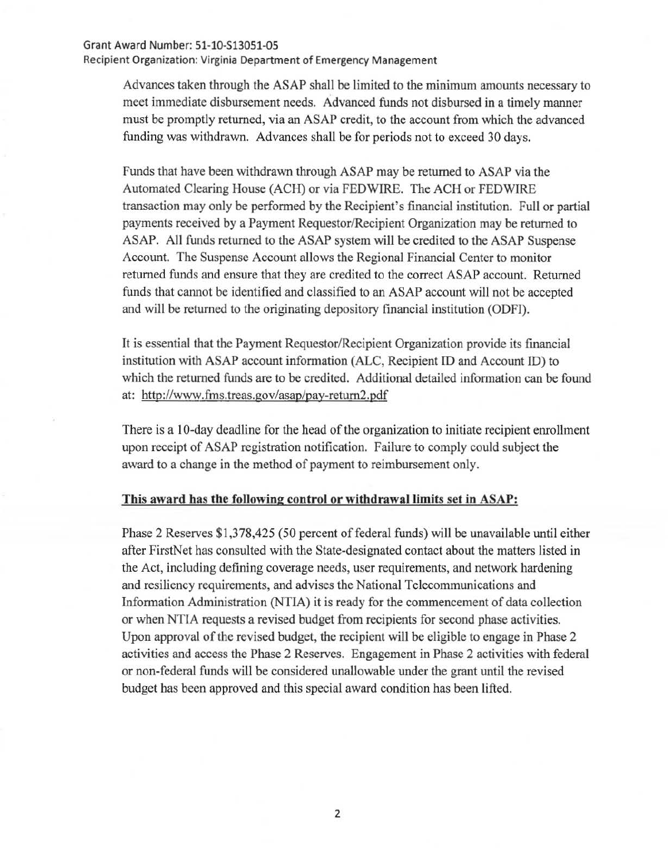#### Grant Award Number: 51-10-S13051-0S

Recipient Organization: Virginia Department of Emergency Management

Advances taken through the ASAP shall be limited to the minimum amounts necessary to meet immediate disbursement needs. Advanced funds not disbursed in a timely manner must be promptly returned, via an ASAP credit, to the account from which the advanced funding was withdrawn. Advances shall be for periods not to exceed 30 days.

Funds that have been withdrawn through ASAP may be returned to ASAP via the Automated Clearing House (ACH) or via FEDWIRE. The ACH or FEDWIRE transaction may only be performed by the Recipient's financial institution. Full or partial payments received by a Payment Requestor/Recipient Organization may be returned to ASAP. All funds returned to the ASAP system will be credited to the ASAP Suspense Account. The Suspense Account allows the Regional Financial Center to monitor returned funds and ensure that they are credited to the correct ASAP account. Returned funds that cannot be identified and classified to an ASAP account will not be accepted and will be returned to the originating depository financial institution (ODFI).

It is essential that the Payment Requestor/Recipient Organization provide its fmancial institution with ASAP account information (ALC, Recipient ID and Account ID) to which the returned funds are to be credited. Additional detailed information can be found at: http://www.fms.treas.gov/asap/pay-return2.pdf

There is a 10-day deadline for the head of the organization to initiate recipient enrollment upon receipt of ASAP registration notification. Failure to comply could subject the award to a change in the method of payment to reimbursement only.

## This award has the following control or withdrawal limits set in ASAP:

Phase 2 Reserves \$1,378,425 (50 percent of federal funds) will be unavailable until either after FirstNet has consulted with the State-designated contact about the matters listed in the Act, including defining coverage needs, user requirements, and network hardening and resiliency requirements, and advises the National Telecommunications and Information Administration (NTIA) it is ready for the commencement of data collection or when NTIA requests a revised budget from recipients for second phase activities. Upon approval of the revised budget, the recipient will be eligible to engage in Phase 2 activities and access the Phase 2 Reserves. Engagement in Phase 2 activities with federal or non-federal funds will be considered unallowable under the grant until the revised budget has been approved and this special award condition has been lifted.